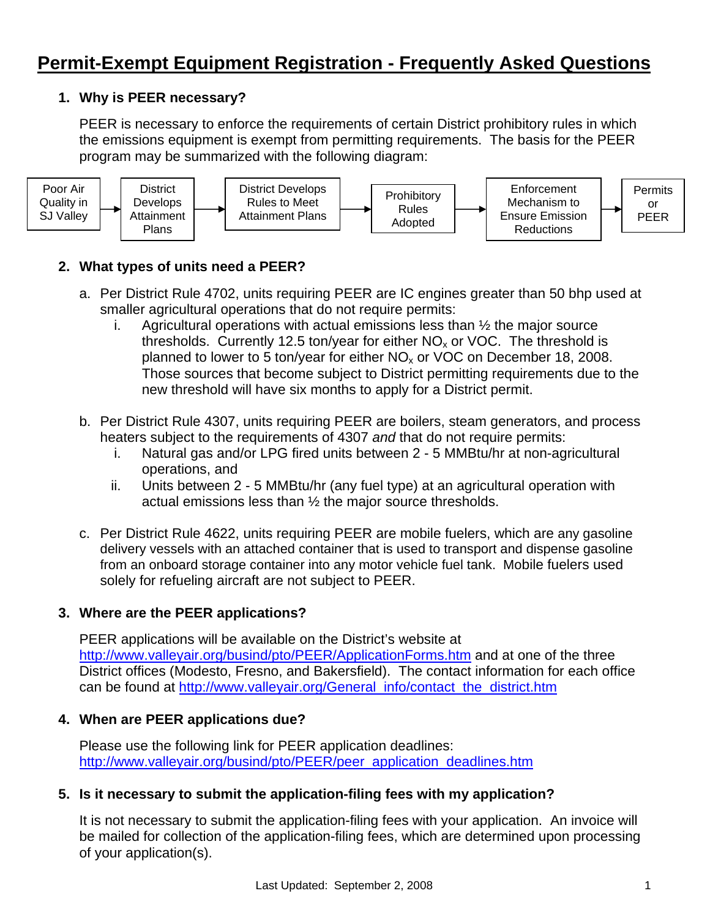## **1. Why is PEER necessary?**

PEER is necessary to enforce the requirements of certain District prohibitory rules in which the emissions equipment is exempt from permitting requirements. The basis for the PEER program may be summarized with the following diagram:



# **2. What types of units need a PEER?**

- a. Per District Rule 4702, units requiring PEER are IC engines greater than 50 bhp used at smaller agricultural operations that do not require permits:
	- i. Agricultural operations with actual emissions less than  $\frac{1}{2}$  the major source thresholds. Currently 12.5 ton/year for either  $NO<sub>x</sub>$  or VOC. The threshold is planned to lower to 5 ton/year for either  $NO<sub>x</sub>$  or VOC on December 18, 2008. Those sources that become subject to District permitting requirements due to the new threshold will have six months to apply for a District permit.
- b. Per District Rule 4307, units requiring PEER are boilers, steam generators, and process heaters subject to the requirements of 4307 *and* that do not require permits:
	- i. Natural gas and/or LPG fired units between 2 5 MMBtu/hr at non-agricultural operations, and
	- ii. Units between 2 5 MMBtu/hr (any fuel type) at an agricultural operation with actual emissions less than ½ the major source thresholds.
- c. Per District Rule 4622, units requiring PEER are mobile fuelers, which are any gasoline delivery vessels with an attached container that is used to transport and dispense gasoline from an onboard storage container into any motor vehicle fuel tank. Mobile fuelers used solely for refueling aircraft are not subject to PEER.

### **3. Where are the PEER applications?**

PEER applications will be available on the District's website at <http://www.valleyair.org/busind/pto/PEER/ApplicationForms.htm>and at one of the three District offices (Modesto, Fresno, and Bakersfield). The contact information for each office can be found at [http://www.valleyair.org/General\\_info/contact\\_the\\_district.htm](http://www.valleyair.org/General_info/contact_the_district.htm) 

### **4. When are PEER applications due?**

Please use the following link for PEER application deadlines: [http://www.valleyair.org/busind/pto/PEER/peer\\_application\\_deadlines.htm](http://www.valleyair.org/busind/pto/PEER/peer_application_deadlines.htm) 

### **5. Is it necessary to submit the application-filing fees with my application?**

It is not necessary to submit the application-filing fees with your application. An invoice will be mailed for collection of the application-filing fees, which are determined upon processing of your application(s).